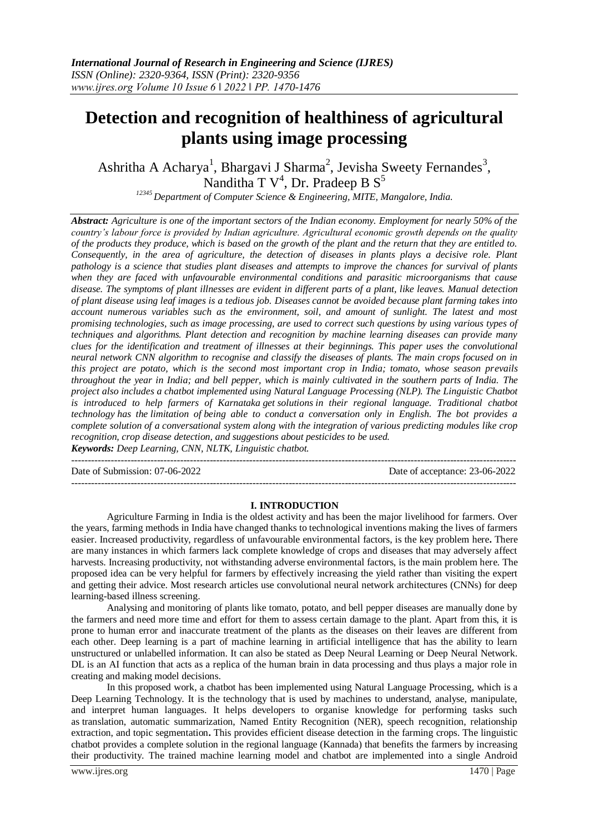# **Detection and recognition of healthiness of agricultural plants using image processing**

Ashritha A Acharya<sup>1</sup>, Bhargavi J Sharma<sup>2</sup>, Jevisha Sweety Fernandes<sup>3</sup>, Nanditha T  $V^4$ , Dr. Pradeep B  $S^5$ 

*<sup>12345</sup> Department of Computer Science & Engineering, MITE, Mangalore, India.* 

*Abstract: Agriculture is one of the important sectors of the Indian economy. Employment for nearly 50% of the country's labour force is provided by Indian agriculture. Agricultural economic growth depends on the quality of the products they produce, which is based on the growth of the plant and the return that they are entitled to. Consequently, in the area of agriculture, the detection of diseases in plants plays a decisive role. Plant pathology is a science that studies plant diseases and attempts to improve the chances for survival of plants when they are faced with unfavourable environmental conditions and parasitic microorganisms that cause disease. The symptoms of plant illnesses are evident in different parts of a plant, like leaves. Manual detection of plant disease using leaf images is a tedious job. Diseases cannot be avoided because plant farming takes into account numerous variables such as the environment, soil, and amount of sunlight. The latest and most promising technologies, such as image processing, are used to correct such questions by using various types of techniques and algorithms. Plant detection and recognition by machine learning diseases can provide many clues for the identification and treatment of illnesses at their beginnings. This paper uses the convolutional neural network CNN algorithm to recognise and classify the diseases of plants. The main crops focused on in this project are potato, which is the second most important crop in India; tomato, whose season prevails throughout the year in India; and bell pepper, which is mainly cultivated in the southern parts of India. The project also includes a chatbot implemented using Natural Language Processing (NLP). The Linguistic Chatbot is introduced to help farmers of Karnataka get solutions in their regional language. Traditional chatbot technology has the limitation of being able to conduct a conversation only in English. The bot provides a complete solution of a conversational system along with the integration of various predicting modules like crop recognition, crop disease detection, and suggestions about pesticides to be used. Keywords: Deep Learning, CNN, NLTK, Linguistic chatbot.*

--------------------------------------------------------------------------------------------------------------------------------------- Date of Submission: 07-06-2022 Date of acceptance: 23-06-2022

---------------------------------------------------------------------------------------------------------------------------------------

#### **I. INTRODUCTION**

Agriculture Farming in India is the oldest activity and has been the major livelihood for farmers. Over the years, farming methods in India have changed thanks to technological inventions making the lives of farmers easier. Increased productivity, regardless of unfavourable environmental factors, is the key problem here**.** There are many instances in which farmers lack complete knowledge of crops and diseases that may adversely affect harvests. Increasing productivity, not withstanding adverse environmental factors, is the main problem here. The proposed idea can be very helpful for farmers by effectively increasing the yield rather than visiting the expert and getting their advice. Most research articles use convolutional neural network architectures (CNNs) for deep learning-based illness screening.

Analysing and monitoring of plants like tomato, potato, and bell pepper diseases are manually done by the farmers and need more time and effort for them to assess certain damage to the plant. Apart from this, it is prone to human error and inaccurate treatment of the plants as the diseases on their leaves are different from each other. Deep learning is a part of machine learning in artificial intelligence that has the ability to learn unstructured or unlabelled information. It can also be stated as Deep Neural Learning or Deep Neural Network. DL is an AI function that acts as a replica of the human brain in data processing and thus plays a major role in creating and making model decisions.

In this proposed work, a chatbot has been implemented using Natural Language Processing, which is a Deep Learning Technology. It is the technology that is used by machines to understand, analyse, manipulate, and interpret human languages. It helps developers to organise knowledge for performing tasks such as translation, automatic summarization, Named Entity Recognition (NER), speech recognition, relationship extraction, and topic segmentation**.** This provides efficient disease detection in the farming crops. The linguistic chatbot provides a complete solution in the regional language (Kannada) that benefits the farmers by increasing their productivity. The trained machine learning model and chatbot are implemented into a single Android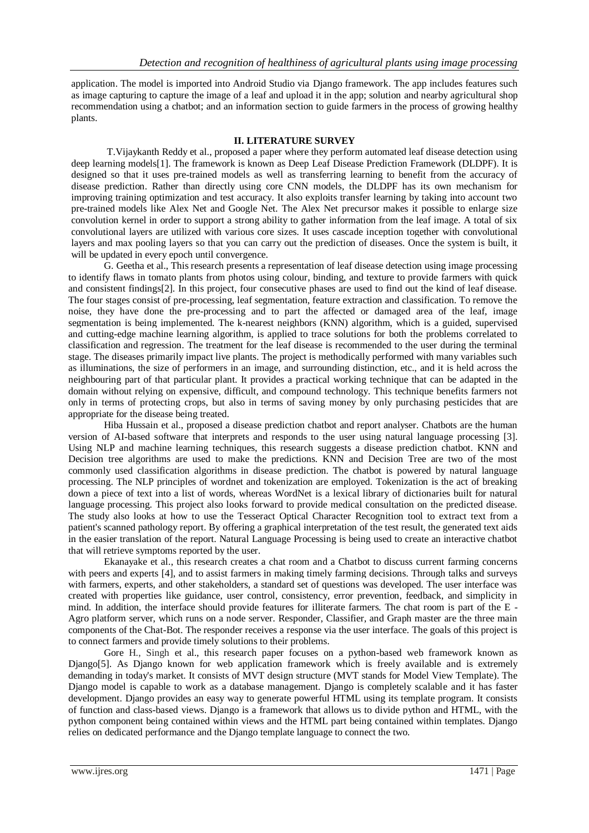application. The model is imported into Android Studio via Django framework. The app includes features such as image capturing to capture the image of a leaf and upload it in the app; solution and nearby agricultural shop recommendation using a chatbot; and an information section to guide farmers in the process of growing healthy plants.

#### **II. LITERATURE SURVEY**

T.Vijaykanth Reddy et al., proposed a paper where they perform automated leaf disease detection using deep learning models[1]. The framework is known as Deep Leaf Disease Prediction Framework (DLDPF). It is designed so that it uses pre-trained models as well as transferring learning to benefit from the accuracy of disease prediction. Rather than directly using core CNN models, the DLDPF has its own mechanism for improving training optimization and test accuracy. It also exploits transfer learning by taking into account two pre-trained models like Alex Net and Google Net. The Alex Net precursor makes it possible to enlarge size convolution kernel in order to support a strong ability to gather information from the leaf image. A total of six convolutional layers are utilized with various core sizes. It uses cascade inception together with convolutional layers and max pooling layers so that you can carry out the prediction of diseases. Once the system is built, it will be updated in every epoch until convergence.

G. Geetha et al., This research presents a representation of leaf disease detection using image processing to identify flaws in tomato plants from photos using colour, binding, and texture to provide farmers with quick and consistent findings[2]. In this project, four consecutive phases are used to find out the kind of leaf disease. The four stages consist of pre-processing, leaf segmentation, feature extraction and classification. To remove the noise, they have done the pre-processing and to part the affected or damaged area of the leaf, image segmentation is being implemented. The k-nearest neighbors (KNN) algorithm, which is a guided, supervised and cutting-edge machine learning algorithm, is applied to trace solutions for both the problems correlated to classification and regression. The treatment for the leaf disease is recommended to the user during the terminal stage. The diseases primarily impact live plants. The project is methodically performed with many variables such as illuminations, the size of performers in an image, and surrounding distinction, etc., and it is held across the neighbouring part of that particular plant. It provides a practical working technique that can be adapted in the domain without relying on expensive, difficult, and compound technology. This technique benefits farmers not only in terms of protecting crops, but also in terms of saving money by only purchasing pesticides that are appropriate for the disease being treated.

Hiba Hussain et al., proposed a disease prediction chatbot and report analyser. Chatbots are the human version of AI-based software that interprets and responds to the user using natural language processing [3]. Using NLP and machine learning techniques, this research suggests a disease prediction chatbot. KNN and Decision tree algorithms are used to make the predictions. KNN and Decision Tree are two of the most commonly used classification algorithms in disease prediction. The chatbot is powered by natural language processing. The NLP principles of wordnet and tokenization are employed. Tokenization is the act of breaking down a piece of text into a list of words, whereas WordNet is a lexical library of dictionaries built for natural language processing. This project also looks forward to provide medical consultation on the predicted disease. The study also looks at how to use the Tesseract Optical Character Recognition tool to extract text from a patient's scanned pathology report. By offering a graphical interpretation of the test result, the generated text aids in the easier translation of the report. Natural Language Processing is being used to create an interactive chatbot that will retrieve symptoms reported by the user.

Ekanayake et al., this research creates a chat room and a Chatbot to discuss current farming concerns with peers and experts [4], and to assist farmers in making timely farming decisions. Through talks and surveys with farmers, experts, and other stakeholders, a standard set of questions was developed. The user interface was created with properties like guidance, user control, consistency, error prevention, feedback, and simplicity in mind. In addition, the interface should provide features for illiterate farmers. The chat room is part of the E - Agro platform server, which runs on a node server. Responder, Classifier, and Graph master are the three main components of the Chat-Bot. The responder receives a response via the user interface. The goals of this project is to connect farmers and provide timely solutions to their problems.

Gore H., Singh et al., this research paper focuses on a python-based web framework known as Django[5]. As Django known for web application framework which is freely available and is extremely demanding in today's market. It consists of MVT design structure (MVT stands for Model View Template). The Django model is capable to work as a database management. Django is completely scalable and it has faster development. Django provides an easy way to generate powerful HTML using its template program. It consists of function and class-based views. Django is a framework that allows us to divide python and HTML, with the python component being contained within views and the HTML part being contained within templates. Django relies on dedicated performance and the Django template language to connect the two.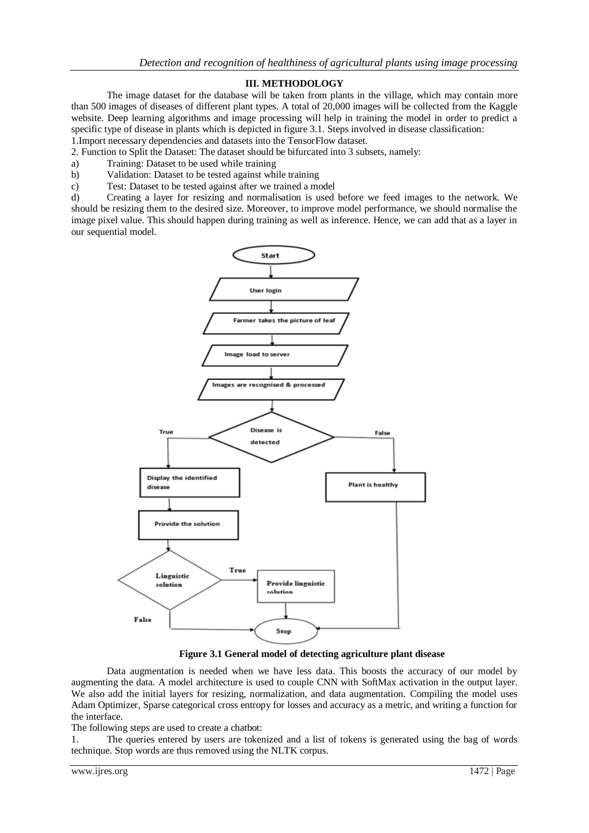## **III. METHODOLOGY**

The image dataset for the database will be taken from plants in the village, which may contain more than 500 images of diseases of different plant types. A total of 20,000 images will be collected from the Kaggle website. Deep learning algorithms and image processing will help in training the model in order to predict a specific type of disease in plants which is depicted in figure 3.1. Steps involved in disease classification:

1.Import necessary dependencies and datasets into the TensorFlow dataset.

2. Function to Split the Dataset: The dataset should be bifurcated into 3 subsets, namely:

- a) Training: Dataset to be used while training
- b) Validation: Dataset to be tested against while training
- c) Test: Dataset to be tested against after we trained a model

d) Creating a layer for resizing and normalisation is used before we feed images to the network. We should be resizing them to the desired size. Moreover, to improve model performance, we should normalise the image pixel value. This should happen during training as well as inference. Hence, we can add that as a layer in our sequential model.



**Figure 3.1 General model of detecting agriculture plant disease**

Data augmentation is needed when we have less data. This boosts the accuracy of our model by augmenting the data. A model architecture is used to couple CNN with SoftMax activation in the output layer. We also add the initial layers for resizing, normalization, and data augmentation. Compiling the model uses Adam Optimizer, Sparse categorical cross entropy for losses and accuracy as a metric, and writing a function for the interface.

The following steps are used to create a chatbot:

1. The queries entered by users are tokenized and a list of tokens is generated using the bag of words technique. Stop words are thus removed using the NLTK corpus.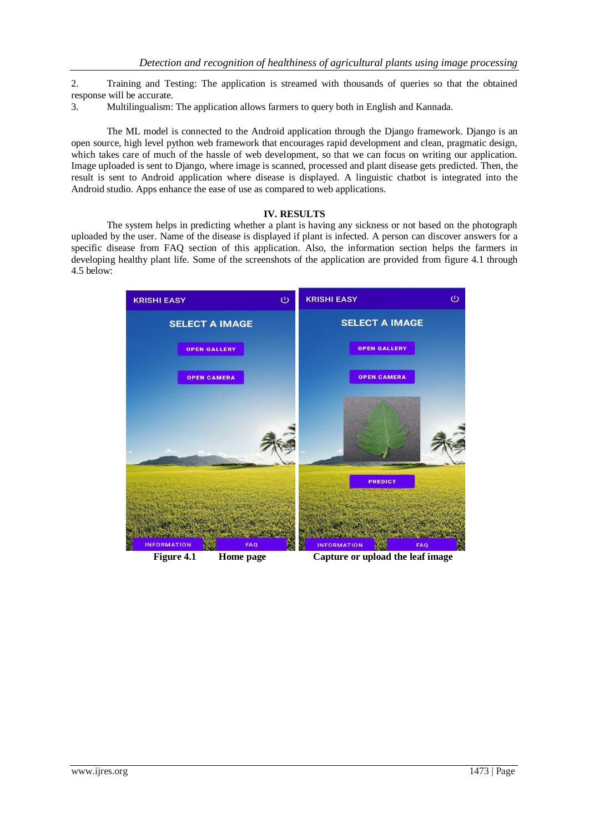2. Training and Testing: The application is streamed with thousands of queries so that the obtained response will be accurate.

3. Multilingualism: The application allows farmers to query both in English and Kannada.

The ML model is connected to the Android application through the Django framework. Django is an open source, high level python web framework that encourages rapid development and clean, pragmatic design, which takes care of much of the hassle of web development, so that we can focus on writing our application. Image uploaded is sent to Django, where image is scanned, processed and plant disease gets predicted. Then, the result is sent to Android application where disease is displayed. A linguistic chatbot is integrated into the Android studio. Apps enhance the ease of use as compared to web applications.

### **IV. RESULTS**

The system helps in predicting whether a plant is having any sickness or not based on the photograph uploaded by the user. Name of the disease is displayed if plant is infected. A person can discover answers for a specific disease from FAQ section of this application. Also, the information section helps the farmers in developing healthy plant life. Some of the screenshots of the application are provided from figure 4.1 through 4.5 below:

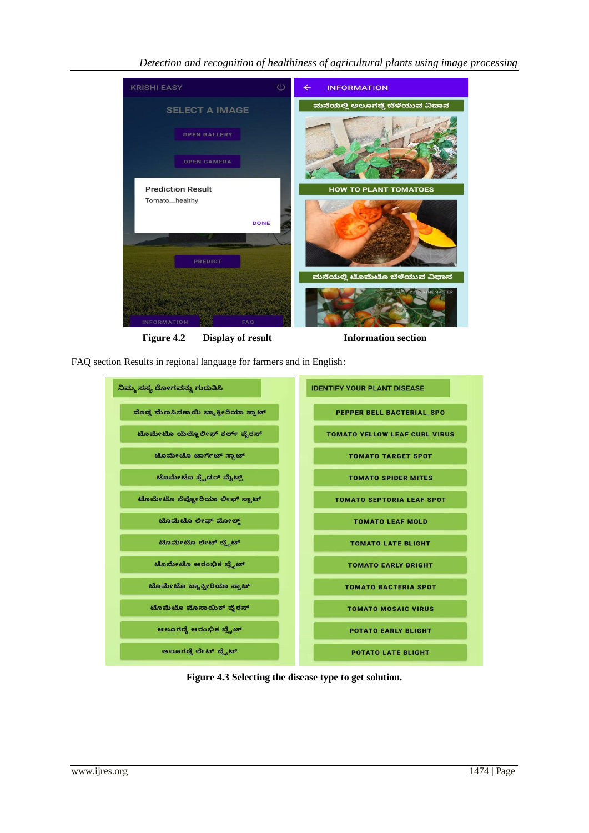# *Detection and recognition of healthiness of agricultural plants using image processing*



Figure 4.2 Display of result Information section

FAQ section Results in regional language for farmers and in English:



**Figure 4.3 Selecting the disease type to get solution.**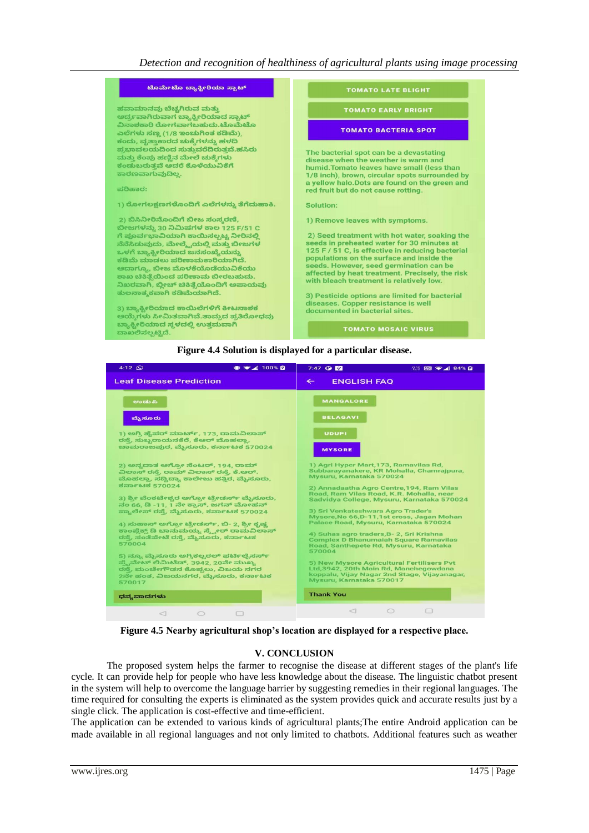



**Figure 4.5 Nearby agricultural shop's location are displayed for a respective place.**

#### **V. CONCLUSION**

The proposed system helps the farmer to recognise the disease at different stages of the plant's life cycle. It can provide help for people who have less knowledge about the disease. The linguistic chatbot present in the system will help to overcome the language barrier by suggesting remedies in their regional languages. The time required for consulting the experts is eliminated as the system provides quick and accurate results just by a single click. The application is cost-effective and time-efficient.

The application can be extended to various kinds of agricultural plants;The entire Android application can be made available in all regional languages and not only limited to chatbots. Additional features such as weather